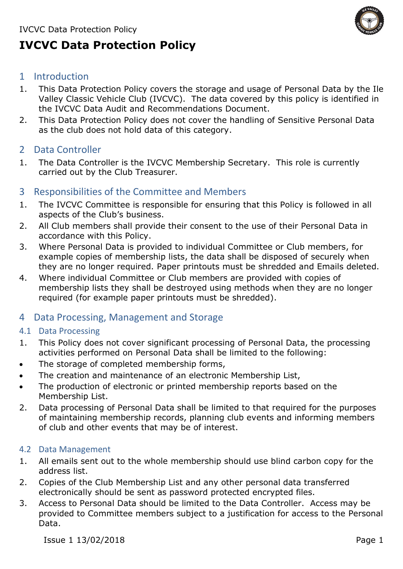

# **IVCVC Data Protection Policy**

# 1 Introduction

- 1. This Data Protection Policy covers the storage and usage of Personal Data by the Ile Valley Classic Vehicle Club (IVCVC). The data covered by this policy is identified in the IVCVC Data Audit and Recommendations Document.
- 2. This Data Protection Policy does not cover the handling of Sensitive Personal Data as the club does not hold data of this category.
- 2 Data Controller
- 1. The Data Controller is the IVCVC Membership Secretary. This role is currently carried out by the Club Treasurer.

# 3 Responsibilities of the Committee and Members

- 1. The IVCVC Committee is responsible for ensuring that this Policy is followed in all aspects of the Club's business.
- 2. All Club members shall provide their consent to the use of their Personal Data in accordance with this Policy.
- 3. Where Personal Data is provided to individual Committee or Club members, for example copies of membership lists, the data shall be disposed of securely when they are no longer required. Paper printouts must be shredded and Emails deleted.
- 4. Where individual Committee or Club members are provided with copies of membership lists they shall be destroyed using methods when they are no longer required (for example paper printouts must be shredded).

# 4 Data Processing, Management and Storage

# 4.1 Data Processing

- 1. This Policy does not cover significant processing of Personal Data, the processing activities performed on Personal Data shall be limited to the following:
- The storage of completed membership forms.
- The creation and maintenance of an electronic Membership List,
- The production of electronic or printed membership reports based on the Membership List.
- 2. Data processing of Personal Data shall be limited to that required for the purposes of maintaining membership records, planning club events and informing members of club and other events that may be of interest.

# 4.2 Data Management

- 1. All emails sent out to the whole membership should use blind carbon copy for the address list.
- 2. Copies of the Club Membership List and any other personal data transferred electronically should be sent as password protected encrypted files.
- 3. Access to Personal Data should be limited to the Data Controller. Access may be provided to Committee members subject to a justification for access to the Personal Data.